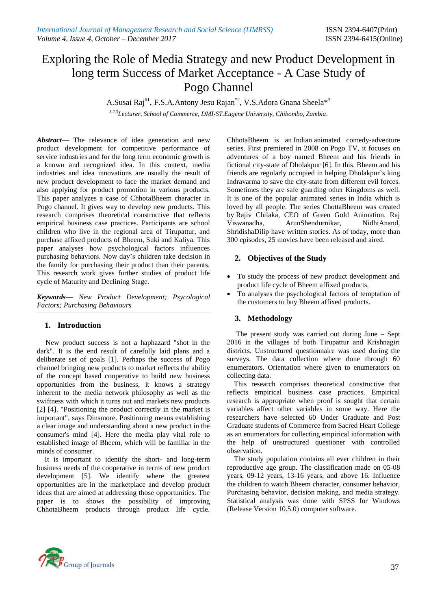# Exploring the Role of Media Strategy and new Product Development in long term Success of Market Acceptance - A Case Study of Pogo Channel

A.Susai Raj<sup>#1</sup>, F.S.A.Antony Jesu Rajan<sup>\*2</sup>, V.S.Adora Gnana Sheela\*<sup>3</sup>

*1,2,3Lecturer, School of Commerce, DMI-ST.Eugene University, Chibombo, Zambia*.

*Abstract*— The relevance of idea generation and new product development for competitive performance of service industries and for the long term economic growth is a known and recognized idea. In this context, media industries and idea innovations are usually the result of new product development to face the market demand and also applying for product promotion in various products. This paper analyzes a case of ChhotaBheem character in Pogo channel. It gives way to develop new products. This research comprises theoretical constructive that reflects empirical business case practices. Participants are school children who live in the regional area of Tirupattur, and purchase affixed products of Bheem, Suki and Kaliya. This paper analyses how psychological factors influences purchasing behaviors. Now day's children take decision in the family for purchasing their product than their parents. This research work gives further studies of product life cycle of Maturity and Declining Stage.

*Keywords***—** *New Product Development; Psycological Factors; Purchasing Behaviours*

# **1. Introduction**

New product success is not a haphazard "shot in the dark". It is the end result of carefully laid plans and a deliberate set of goals [1]. Perhaps the success of Pogo channel bringing new products to market reflects the ability of the concept based cooperative to build new business opportunities from the business, it knows a strategy inherent to the media network philosophy as well as the swiftness with which it turns out and markets new products [2] [4]. "Positioning the product correctly in the market is important", says Dinsmore. Positioning means establishing a clear image and understanding about a new product in the consumer's mind [4]. Here the media play vital role to established image of Bheem, which will be familiar in the minds of consumer.

It is important to identify the short- and long-term business needs of the cooperative in terms of new product development [5]. We identify where the greatest opportunities are in the marketplace and develop product ideas that are aimed at addressing those opportunities. The paper is to shows the possibility of improving ChhotaBheem products through product life cycle.

ChhotaBheem is an [Indian](https://en.wikipedia.org/wiki/India) animated comedy-adventure series. First premiered in 2008 on [Pogo TV,](https://en.wikipedia.org/wiki/Pogo_TV) it focuses on adventures of a boy named Bheem and his friends in fictional city-state of Dholakpur [6]. In this, Bheem and his friends are regularly occupied in helping Dholakpur's king Indravarma to save the city-state from different evil forces. Sometimes they are safe guarding other Kingdoms as well. It is one of the popular animated series in India which is loved by all people. The series ChottaBheem was created by [Rajiv Chilaka,](https://en.wikipedia.org/wiki/Rajiv_Chilaka) CEO of Green Gold Animation. Raj Viswanadha, ArunShendurnikar, NidhiAnand, ShridishaDilip have written stories. As of today, more than 300 episodes, 25 movies have been released and aired.

# **2. Objectives of the Study**

- To study the process of new product development and product life cycle of Bheem affixed products.
- To analyses the psychological factors of temptation of the customers to buy Bheem affixed products.

# **3. Methodology**

 The present study was carried out during June – Sept 2016 in the villages of both Tirupattur and Krishnagiri districts. Unstructured questionnaire was used during the surveys. The data collection where done through 60 enumerators. Orientation where given to enumerators on collecting data.

This research comprises theoretical constructive that reflects empirical business case practices. Empirical research is appropriate when proof is sought that certain variables affect other variables in some way. Here the researchers have selected 60 Under Graduate and Post Graduate students of Commerce from Sacred Heart College as an enumerators for collecting empirical information with the help of unstructured questioner with controlled observation.

The study population contains all ever children in their reproductive age group. The classification made on 05-08 years, 09-12 years, 13-16 years, and above 16. Influence the children to watch Bheem character, consumer behavior, Purchasing behavior, decision making, and media strategy. Statistical analysis was done with SPSS for Windows (Release Version 10.5.0) computer software.

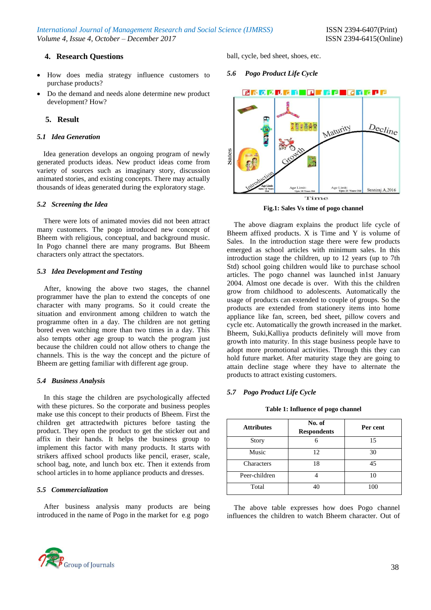# **4. Research Questions**

- How does media strategy influence customers to purchase products?
- Do the demand and needs alone determine new product development? How?

# **5. Result**

## *5.1 Idea Generation*

Idea generation develops an ongoing program of newly generated products ideas. New product ideas come from variety of sources such as imaginary story, discussion animated stories, and existing concepts. There may actually thousands of ideas generated during the exploratory stage.

## *5.2 Screening the Idea*

There were lots of animated movies did not been attract many customers. The pogo introduced new concept of Bheem with religious, conceptual, and background music. In Pogo channel there are many programs. But Bheem characters only attract the spectators.

## *5.3 Idea Development and Testing*

After, knowing the above two stages, the channel programmer have the plan to extend the concepts of one character with many programs. So it could create the situation and environment among children to watch the programme often in a day. The children are not getting bored even watching more than two times in a day. This also tempts other age group to watch the program just because the children could not allow others to change the channels. This is the way the concept and the picture of Bheem are getting familiar with different age group.

#### *5.4 Business Analysis*

In this stage the children are psychologically affected with these pictures. So the corporate and business peoples make use this concept to their products of Bheem. First the children get attractedwith pictures before tasting the product. They open the product to get the sticker out and affix in their hands. It helps the business group to implement this factor with many products. It starts with strikers affixed school products like pencil, eraser, scale, school bag, note, and lunch box etc. Then it extends from school articles in to home appliance products and dresses.

# *5.5 Commercialization*

After business analysis many products are being introduced in the name of Pogo in the market for e.g pogo



ball, cycle, bed sheet, shoes, etc.

# *5.6 Pogo Product Life Cycle*



**Fig.1: Sales Vs time of pogo channel**

The above diagram explains the product life cycle of Bheem affixed products. X is Time and Y is volume of Sales. In the introduction stage there were few products emerged as school articles with minimum sales. In this introduction stage the children, up to 12 years (up to 7th Std) school going children would like to purchase school articles. The pogo channel was launched in1st January 2004. Almost one decade is over. With this the children grow from childhood to adolescents. Automatically the usage of products can extended to couple of groups. So the products are extended from stationery items into home appliance like fan, screen, bed sheet, pillow covers and cycle etc. Automatically the growth increased in the market. Bheem, Suki,Kalliya products definitely will move from growth into maturity. In this stage business people have to adopt more promotional activities. Through this they can hold future market. After maturity stage they are going to attain decline stage where they have to alternate the products to attract existing customers.

# *5.7 Pogo Product Life Cycle*

#### **Table 1: Influence of pogo channel**

| <b>Attributes</b> | No. of<br><b>Respondents</b> | Per cent |
|-------------------|------------------------------|----------|
| <b>Story</b>      |                              | 15       |
| Music             | 12                           | 30       |
| Characters        | 18                           | 45       |
| Peer-children     |                              | 10       |
| Total             |                              | 100      |

The above table expresses how does Pogo channel influences the children to watch Bheem character. Out of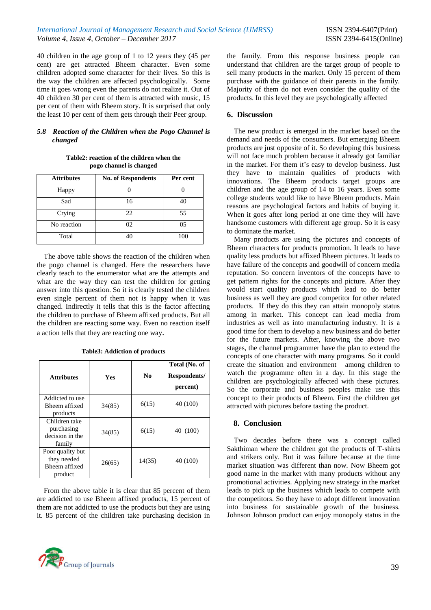40 children in the age group of 1 to 12 years they (45 per cent) are get attracted Bheem character. Even some children adopted some character for their lives. So this is the way the children are affected psychologically. Some time it goes wrong even the parents do not realize it. Out of 40 children 30 per cent of them is attracted with music, 15 per cent of them with Bheem story. It is surprised that only the least 10 per cent of them gets through their Peer group.

## *5.8 Reaction of the Children when the Pogo Channel is changed*

**Table2: reaction of the children when the pogo channel is changed**

| <b>Attributes</b> | <b>No. of Respondents</b> | Per cent |
|-------------------|---------------------------|----------|
| Happy             |                           |          |
| Sad               | 16                        | 40       |
| Crying            | 22                        | 55       |
| No reaction       | 02                        | 05       |
| Total             |                           | 100      |

The above table shows the reaction of the children when the pogo channel is changed. Here the researchers have clearly teach to the enumerator what are the attempts and what are the way they can test the children for getting answer into this question. So it is clearly tested the children even single percent of them not is happy when it was changed. Indirectly it tells that this is the factor affecting the children to purchase of Bheem affixed products. But all the children are reacting some way. Even no reaction itself a action tells that they are reacting one way.

| <b>Attributes</b>                                           | <b>Yes</b> | $\mathbf{N}\mathbf{0}$ | Total (No. of<br>Respondents/<br>percent) |
|-------------------------------------------------------------|------------|------------------------|-------------------------------------------|
| Addicted to use<br>Bheem affixed<br>products                | 34(85)     | 6(15)                  | 40 (100)                                  |
| Children take<br>purchasing<br>decision in the<br>family    | 34(85)     | 6(15)                  | 40 (100)                                  |
| Poor quality but<br>they needed<br>Bheem affixed<br>product | 26(65)     | 14(35)                 | 40 (100)                                  |

**Table3: Addiction of products**

From the above table it is clear that 85 percent of them are addicted to use Bheem affixed products, 15 percent of them are not addicted to use the products but they are using it. 85 percent of the children take purchasing decision in



the family. From this response business people can understand that children are the target group of people to sell many products in the market. Only 15 percent of them purchase with the guidance of their parents in the family. Majority of them do not even consider the quality of the products. In this level they are psychologically affected

# **6. Discussion**

The new product is emerged in the market based on the demand and needs of the consumers. But emerging Bheem products are just opposite of it. So developing this business will not face much problem because it already got familiar in the market. For them it's easy to develop business. Just they have to maintain qualities of products with innovations. The Bheem products target groups are children and the age group of 14 to 16 years. Even some college students would like to have Bheem products. Main reasons are psychological factors and habits of buying it. When it goes after long period at one time they will have handsome customers with different age group. So it is easy to dominate the market.

Many products are using the pictures and concepts of Bheem characters for products promotion. It leads to have quality less products but affixed Bheem pictures. It leads to have failure of the concepts and goodwill of concern media reputation. So concern inventors of the concepts have to get pattern rights for the concepts and picture. After they would start quality products which lead to do better business as well they are good competitor for other related products. If they do this they can attain monopoly status among in market. This concept can lead media from industries as well as into manufacturing industry. It is a good time for them to develop a new business and do better for the future markets. After, knowing the above two stages, the channel programmer have the plan to extend the concepts of one character with many programs. So it could create the situation and environment among children to watch the programme often in a day. In this stage the children are psychologically affected with these pictures. So the corporate and business peoples make use this concept to their products of Bheem. First the children get attracted with pictures before tasting the product.

# **8. Conclusion**

Two decades before there was a concept called Sakthiman where the children got the products of T-shirts and strikers only. But it was failure because at the time market situation was different than now. Now Bheem got good name in the market with many products without any promotional activities. Applying new strategy in the market leads to pick up the business which leads to compete with the competitors. So they have to adopt different innovation into business for sustainable growth of the business. Johnson Johnson product can enjoy monopoly status in the